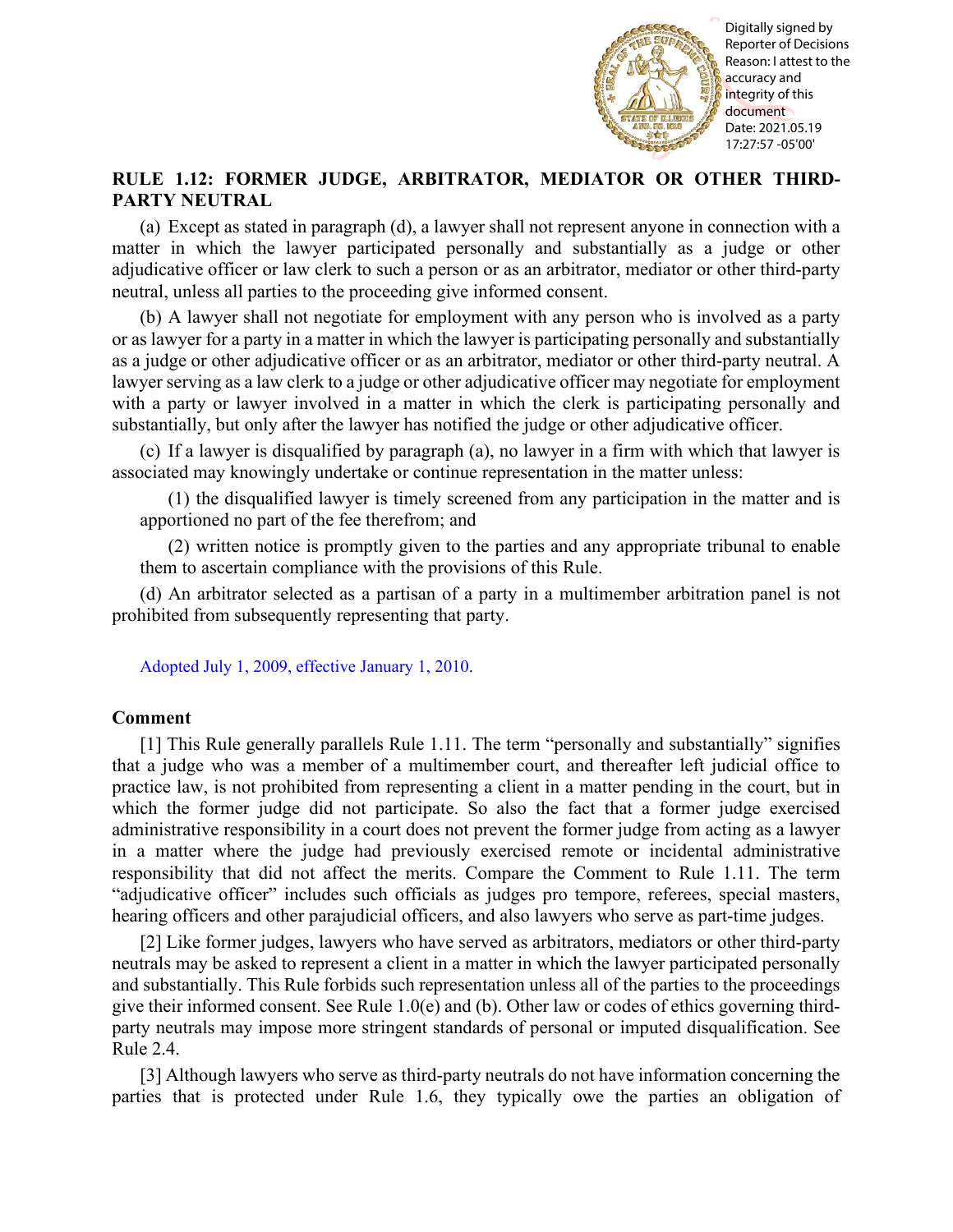

Reporter of Decisions Reason: I attest to the accuracy and integrity of this document Date: 2021.05.19 17:27:57 -05'00'

## **RULE 1.12: FORMER JUDGE, ARBITRATOR, MEDIATOR OR OTHER THIRD-PARTY NEUTRAL**

(a) Except as stated in paragraph (d), a lawyer shall not represent anyone in connection with a matter in which the lawyer participated personally and substantially as a judge or other adjudicative officer or law clerk to such a person or as an arbitrator, mediator or other third-party neutral, unless all parties to the proceeding give informed consent.

(b) A lawyer shall not negotiate for employment with any person who is involved as a party or as lawyer for a party in a matter in which the lawyer is participating personally and substantially as a judge or other adjudicative officer or as an arbitrator, mediator or other third-party neutral. A lawyer serving as a law clerk to a judge or other adjudicative officer may negotiate for employment with a party or lawyer involved in a matter in which the clerk is participating personally and substantially, but only after the lawyer has notified the judge or other adjudicative officer.

(c) If a lawyer is disqualified by paragraph (a), no lawyer in a firm with which that lawyer is associated may knowingly undertake or continue representation in the matter unless:

(1) the disqualified lawyer is timely screened from any participation in the matter and is apportioned no part of the fee therefrom; and

(2) written notice is promptly given to the parties and any appropriate tribunal to enable them to ascertain compliance with the provisions of this Rule.

(d) An arbitrator selected as a partisan of a party in a multimember arbitration panel is not prohibited from subsequently representing that party.

[Adopted July 1, 2009, effective January 1, 2010.](http://www.illinoiscourts.gov/files/070109.pdf/amendment)

## **Comment**

[1] This Rule generally parallels Rule 1.11. The term "personally and substantially" signifies that a judge who was a member of a multimember court, and thereafter left judicial office to practice law, is not prohibited from representing a client in a matter pending in the court, but in which the former judge did not participate. So also the fact that a former judge exercised administrative responsibility in a court does not prevent the former judge from acting as a lawyer in a matter where the judge had previously exercised remote or incidental administrative responsibility that did not affect the merits. Compare the Comment to Rule 1.11. The term "adjudicative officer" includes such officials as judges pro tempore, referees, special masters, hearing officers and other parajudicial officers, and also lawyers who serve as part-time judges. **Particular CONSER INTERVITOR. ARBITRATOR REDIATOR CONSERVATIVES** TO  $\frac{1}{2}$  **CONSERVATIVES** (11) EXCEPT IS SECTION TOR ORDER INTERVITOR OR OTHER THIRD-(ii) THEN INTERVITOR CONSERVATIVES ARBITRATOR, MEDIATOR OR OTH

[2] Like former judges, lawyers who have served as arbitrators, mediators or other third-party neutrals may be asked to represent a client in a matter in which the lawyer participated personally and substantially. This Rule forbids such representation unless all of the parties to the proceedings give their informed consent. See Rule  $1.0(e)$  and (b). Other law or codes of ethics governing thirdparty neutrals may impose more stringent standards of personal or imputed disqualification. See Rule 2.4.

[3] Although lawyers who serve as third-party neutrals do not have information concerning the